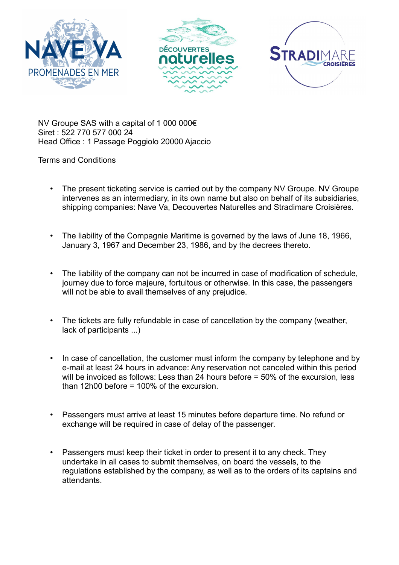





NV Groupe SAS with a capital of 1 000 000€ Siret : 522 770 577 000 24 Head Office : 1 Passage Poggiolo 20000 Ajaccio

Terms and Conditions

- The present ticketing service is carried out by the company NV Groupe. NV Groupe intervenes as an intermediary, in its own name but also on behalf of its subsidiaries, shipping companies: Nave Va, Decouvertes Naturelles and Stradimare Croisières.
- The liability of the Compagnie Maritime is governed by the laws of June 18, 1966, January 3, 1967 and December 23, 1986, and by the decrees thereto.
- The liability of the company can not be incurred in case of modification of schedule, journey due to force majeure, fortuitous or otherwise. In this case, the passengers will not be able to avail themselves of any prejudice.
- The tickets are fully refundable in case of cancellation by the company (weather, lack of participants ...)
- In case of cancellation, the customer must inform the company by telephone and by e-mail at least 24 hours in advance: Any reservation not canceled within this period will be invoiced as follows: Less than 24 hours before = 50% of the excursion, less than 12h00 before = 100% of the excursion.
- Passengers must arrive at least 15 minutes before departure time. No refund or exchange will be required in case of delay of the passenger.
- Passengers must keep their ticket in order to present it to any check. They undertake in all cases to submit themselves, on board the vessels, to the regulations established by the company, as well as to the orders of its captains and attendants.